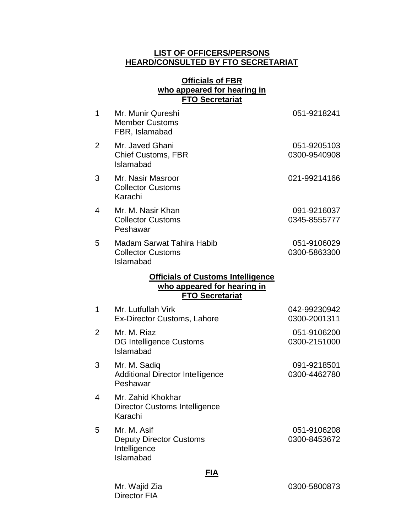### **LIST OF OFFICERS/PERSONS HEARD/CONSULTED BY FTO SECRETARIAT**

# **Officials of FBR who appeared for hearing in FTO Secretariat**

| $\mathbf 1$    | Mr. Munir Qureshi<br><b>Member Customs</b><br>FBR, Islamabad                                      | 051-9218241                  |
|----------------|---------------------------------------------------------------------------------------------------|------------------------------|
| $\overline{2}$ | Mr. Javed Ghani<br><b>Chief Customs, FBR</b><br>Islamabad                                         | 051-9205103<br>0300-9540908  |
| 3              | Mr. Nasir Masroor<br><b>Collector Customs</b><br>Karachi                                          | 021-99214166                 |
| 4              | Mr. M. Nasir Khan<br><b>Collector Customs</b><br>Peshawar                                         | 091-9216037<br>0345-8555777  |
| 5              | <b>Madam Sarwat Tahira Habib</b><br><b>Collector Customs</b><br>Islamabad                         | 051-9106029<br>0300-5863300  |
|                | <b>Officials of Customs Intelligence</b><br>who appeared for hearing in<br><b>FTO Secretariat</b> |                              |
| $\mathbf 1$    | Mr. Lutfullah Virk<br>Ex-Director Customs, Lahore                                                 | 042-99230942<br>0300-2001311 |
| $\overline{2}$ | Mr. M. Riaz<br><b>DG Intelligence Customs</b><br>Islamabad                                        | 051-9106200<br>0300-2151000  |
| 3              | Mr. M. Sadiq<br><b>Additional Director Intelligence</b><br>Peshawar                               | 091-9218501<br>0300-4462780  |
| 4              | Mr. Zahid Khokhar<br>Director Customs Intelligence<br>Karachi                                     |                              |
| 5              | Mr. M. Asif<br><b>Deputy Director Customs</b><br>Intelligence<br>Islamabad                        | 051-9106208<br>0300-8453672  |
|                | FIA                                                                                               |                              |

Mr. Wajid Zia Director FIA

0300-5800873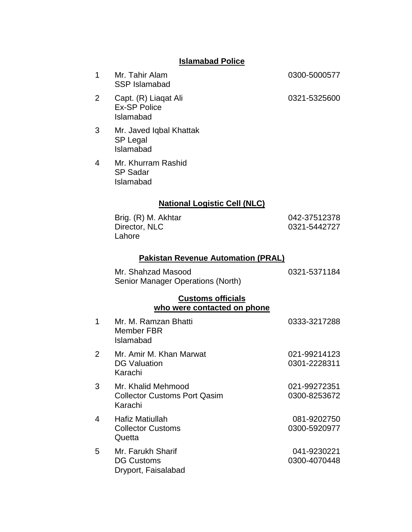# **Islamabad Police**

| 1              | Mr. Tahir Alam<br><b>SSP Islamabad</b>                               | 0300-5000577                 |
|----------------|----------------------------------------------------------------------|------------------------------|
| 2              | Capt. (R) Liagat Ali<br><b>Ex-SP Police</b><br>Islamabad             | 0321-5325600                 |
| 3              | Mr. Javed Iqbal Khattak<br><b>SP Legal</b><br>Islamabad              |                              |
| 4              | Mr. Khurram Rashid<br><b>SP Sadar</b><br>Islamabad                   |                              |
|                | <b>National Logistic Cell (NLC)</b>                                  |                              |
|                | Brig. (R) M. Akhtar<br>Director, NLC<br>Lahore                       | 042-37512378<br>0321-5442727 |
|                | <b>Pakistan Revenue Automation (PRAL)</b>                            |                              |
|                | Mr. Shahzad Masood<br>Senior Manager Operations (North)              | 0321-5371184                 |
|                | <b>Customs officials</b><br>who were contacted on phone              |                              |
| 1              | Mr. M. Ramzan Bhatti<br><b>Member FBR</b><br>Islamabad               | 0333-3217288                 |
| $\overline{2}$ | Mr. Amir M. Khan Marwat<br><b>DG Valuation</b><br>Karachi            | 021-99214123<br>0301-2228311 |
| 3              | Mr. Khalid Mehmood<br><b>Collector Customs Port Qasim</b><br>Karachi | 021-99272351<br>0300-8253672 |
| 4              | <b>Hafiz Matiullah</b><br><b>Collector Customs</b><br>Quetta         | 081-9202750<br>0300-5920977  |
| 5              | Mr. Farukh Sharif<br><b>DG Customs</b><br>Dryport, Faisalabad        | 041-9230221<br>0300-4070448  |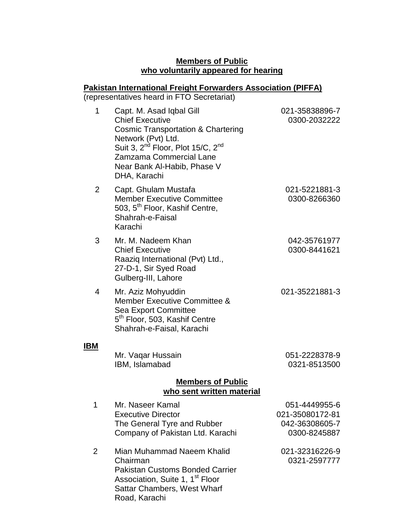### **Members of Public who voluntarily appeared for hearing**

# **Pakistan International Freight Forwarders Association (PIFFA)**

(representatives heard in FTO Secretariat)

| 1                                                     | Capt. M. Asad Iqbal Gill<br><b>Chief Executive</b><br><b>Cosmic Transportation &amp; Chartering</b><br>Network (Pvt) Ltd.<br>Suit 3, 2 <sup>nd</sup> Floor, Plot 15/C, 2 <sup>nd</sup><br>Zamzama Commercial Lane<br>Near Bank Al-Habib, Phase V<br>DHA, Karachi | 021-35838896-7<br>0300-2032222                                     |  |
|-------------------------------------------------------|------------------------------------------------------------------------------------------------------------------------------------------------------------------------------------------------------------------------------------------------------------------|--------------------------------------------------------------------|--|
| 2                                                     | Capt. Ghulam Mustafa<br><b>Member Executive Committee</b><br>503, 5 <sup>th</sup> Floor, Kashif Centre,<br>Shahrah-e-Faisal<br>Karachi                                                                                                                           | 021-5221881-3<br>0300-8266360                                      |  |
| 3                                                     | Mr. M. Nadeem Khan<br><b>Chief Executive</b><br>Raaziq International (Pvt) Ltd.,<br>27-D-1, Sir Syed Road<br>Gulberg-III, Lahore                                                                                                                                 | 042-35761977<br>0300-8441621                                       |  |
| $\overline{4}$                                        | Mr. Aziz Mohyuddin<br><b>Member Executive Committee &amp;</b><br>Sea Export Committee<br>5 <sup>th</sup> Floor, 503, Kashif Centre<br>Shahrah-e-Faisal, Karachi                                                                                                  | 021-35221881-3                                                     |  |
| <b>IBM</b>                                            | Mr. Vaqar Hussain<br>IBM, Islamabad                                                                                                                                                                                                                              | 051-2228378-9<br>0321-8513500                                      |  |
| <b>Members of Public</b><br>who sent written material |                                                                                                                                                                                                                                                                  |                                                                    |  |
| 1                                                     | Mr. Naseer Kamal<br><b>Executive Director</b><br>The General Tyre and Rubber<br>Company of Pakistan Ltd. Karachi                                                                                                                                                 | 051-4449955-6<br>021-35080172-81<br>042-36308605-7<br>0300-8245887 |  |
| $\overline{2}$                                        | Mian Muhammad Naeem Khalid<br>Chairman<br><b>Pakistan Customs Bonded Carrier</b><br>Association, Suite 1, 1 <sup>st</sup> Floor<br>Sattar Chambers, West Wharf<br>Road, Karachi                                                                                  | 021-32316226-9<br>0321-2597777                                     |  |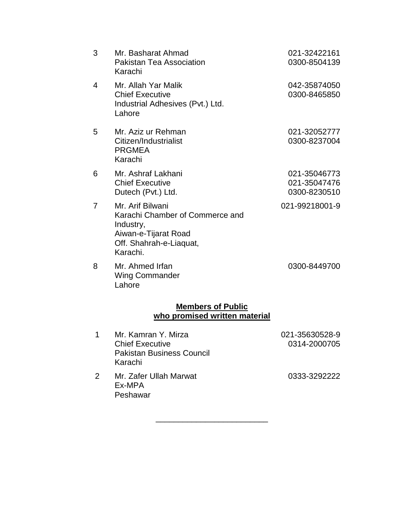| 3                                                         | Mr. Basharat Ahmad<br>Pakistan Tea Association<br>Karachi                                                                       | 021-32422161<br>0300-8504139                 |  |
|-----------------------------------------------------------|---------------------------------------------------------------------------------------------------------------------------------|----------------------------------------------|--|
| 4                                                         | Mr. Allah Yar Malik<br><b>Chief Executive</b><br>Industrial Adhesives (Pvt.) Ltd.<br>Lahore                                     | 042-35874050<br>0300-8465850                 |  |
| 5                                                         | Mr. Aziz ur Rehman<br>Citizen/Industrialist<br><b>PRGMEA</b><br>Karachi                                                         | 021-32052777<br>0300-8237004                 |  |
| 6                                                         | Mr. Ashraf Lakhani<br><b>Chief Executive</b><br>Dutech (Pvt.) Ltd.                                                              | 021-35046773<br>021-35047476<br>0300-8230510 |  |
| $\overline{7}$                                            | Mr. Arif Bilwani<br>Karachi Chamber of Commerce and<br>Industry,<br>Aiwan-e-Tijarat Road<br>Off. Shahrah-e-Liaquat,<br>Karachi. | 021-99218001-9                               |  |
| 8                                                         | Mr. Ahmed Irfan<br><b>Wing Commander</b><br>Lahore                                                                              | 0300-8449700                                 |  |
| <b>Members of Public</b><br>who promised written material |                                                                                                                                 |                                              |  |
| 1                                                         | Mr. Kamran Y. Mirza<br><b>Chief Executive</b><br><b>Pakistan Business Council</b><br>Karachi                                    | 021-35630528-9<br>0314-2000705               |  |
|                                                           | .                                                                                                                               |                                              |  |

2 Mr. Zafer Ullah Marwat Ex-MPA Peshawar

0333-3292222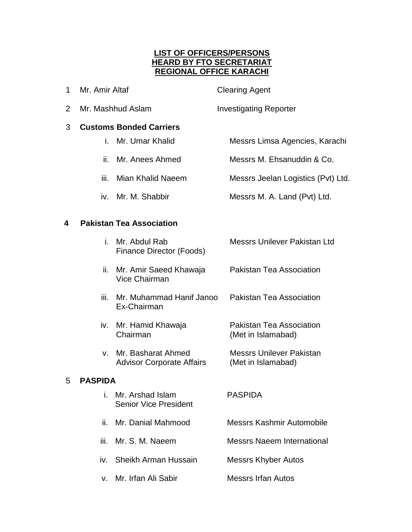# **LIST OF OFFICERS/PERSONS HEARD BY FTO SECRETARIAT REGIONAL OFFICE KARACHI**

- 1 Mr. Amir Altaf Clearing Agent
- 2 Mr. Mashhud Aslam Investigating Reporter

# 3 **Customs Bonded Carriers**

- i. Mr. Umar Khalid Messrs Limsa Agencies, Karachi
- ii. Mr. Anees Ahmed Messrs M. Ehsanuddin & Co.
- iii. Mian Khalid Naeem Messrs Jeelan Logistics (Pvt) Ltd.
- iv. Mr. M. Shabbir Messrs M. A. Land (Pvt) Ltd.

# **4 Pakistan Tea Association**

|   | i.              | Mr. Abdul Rab<br>Finance Director (Foods)              | Messrs Unilever Pakistan Ltd                   |
|---|-----------------|--------------------------------------------------------|------------------------------------------------|
|   |                 | ii. Mr. Amir Saeed Khawaja<br>Vice Chairman            | <b>Pakistan Tea Association</b>                |
|   | iii.            | Mr. Muhammad Hanif Janoo<br>Ex-Chairman                | <b>Pakistan Tea Association</b>                |
|   | IV.             | Mr. Hamid Khawaja<br>Chairman                          | Pakistan Tea Association<br>(Met in Islamabad) |
|   | $V_{\parallel}$ | Mr. Basharat Ahmed<br><b>Advisor Corporate Affairs</b> | Messrs Unilever Pakistan<br>(Met in Islamabad) |
| 5 | <b>PASPIDA</b>  |                                                        |                                                |
|   | i.              | Mr. Arshad Islam<br><b>Senior Vice President</b>       | <b>PASPIDA</b>                                 |
|   | ii.             | Mr. Danial Mahmood                                     | Messrs Kashmir Automobile                      |
|   | iii.            | Mr. S. M. Naeem                                        | <b>Messrs Naeem International</b>              |
|   |                 | iv. Sheikh Arman Hussain                               | Messrs Khyber Autos                            |
|   | V.              | Mr. Irfan Ali Sabir                                    | <b>Messrs Irfan Autos</b>                      |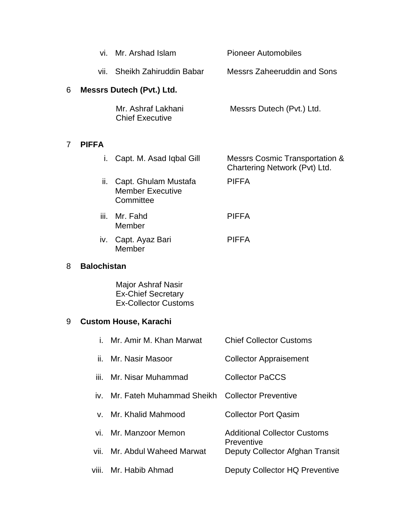|   | vi.                          | Mr. Arshad Islam                                                               | <b>Pioneer Automobiles</b>                                      |
|---|------------------------------|--------------------------------------------------------------------------------|-----------------------------------------------------------------|
|   | vii.                         | Sheikh Zahiruddin Babar                                                        | <b>Messrs Zaheeruddin and Sons</b>                              |
| 6 |                              | <b>Messrs Dutech (Pvt.) Ltd.</b>                                               |                                                                 |
|   |                              | Mr. Ashraf Lakhani<br><b>Chief Executive</b>                                   | Messrs Dutech (Pvt.) Ltd.                                       |
| 7 | <b>PIFFA</b>                 |                                                                                |                                                                 |
|   | i.                           | Capt. M. Asad Iqbal Gill                                                       | Messrs Cosmic Transportation &<br>Chartering Network (Pvt) Ltd. |
|   | ii.                          | Capt. Ghulam Mustafa<br><b>Member Executive</b><br>Committee                   | <b>PIFFA</b>                                                    |
|   | iii.                         | Mr. Fahd<br>Member                                                             | <b>PIFFA</b>                                                    |
|   | İV.                          | Capt. Ayaz Bari<br>Member                                                      | <b>PIFFA</b>                                                    |
| 8 | <b>Balochistan</b>           |                                                                                |                                                                 |
|   |                              | Major Ashraf Nasir<br><b>Ex-Chief Secretary</b><br><b>Ex-Collector Customs</b> |                                                                 |
| 9 | <b>Custom House, Karachi</b> |                                                                                |                                                                 |
|   | i.                           | Mr. Amir M. Khan Marwat                                                        | <b>Chief Collector Customs</b>                                  |
|   | ii.                          | Mr. Nasir Masoor                                                               | <b>Collector Appraisement</b>                                   |
|   | iii.                         | Mr. Nisar Muhammad                                                             | <b>Collector PaCCS</b>                                          |
|   | iv.                          | Mr. Fateh Muhammad Sheikh                                                      | <b>Collector Preventive</b>                                     |
|   | v.                           | Mr. Khalid Mahmood                                                             | <b>Collector Port Qasim</b>                                     |
|   | vi.                          | Mr. Manzoor Memon                                                              | <b>Additional Collector Customs</b><br>Preventive               |
|   | vii.                         | Mr. Abdul Waheed Marwat                                                        | Deputy Collector Afghan Transit                                 |
|   | viii.                        | Mr. Habib Ahmad                                                                | Deputy Collector HQ Preventive                                  |

7 **PIFFA**